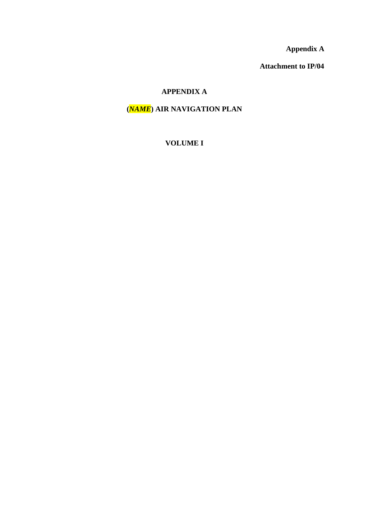**Appendix A**

**Attachment to IP/04**

# **APPENDIX A**

# **(***NAME***) AIR NAVIGATION PLAN**

# **VOLUME I**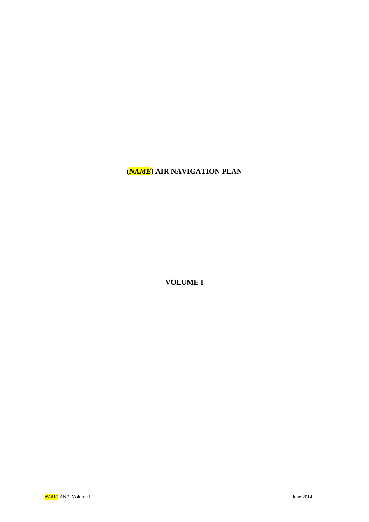# **(***NAME***) AIR NAVIGATION PLAN**

**VOLUME I**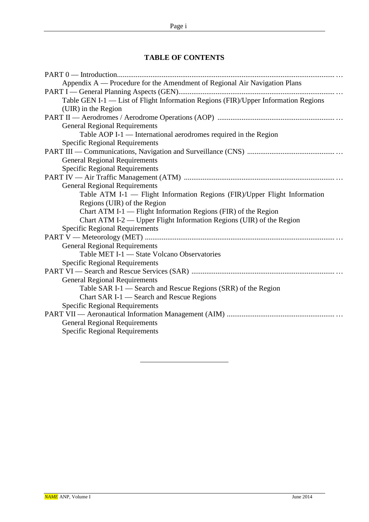### **TABLE OF CONTENTS**

| Appendix A — Procedure for the Amendment of Regional Air Navigation Plans          |
|------------------------------------------------------------------------------------|
|                                                                                    |
| Table GEN I-1 - List of Flight Information Regions (FIR)/Upper Information Regions |
| (UIR) in the Region                                                                |
|                                                                                    |
| <b>General Regional Requirements</b>                                               |
| Table AOP I-1 — International aerodromes required in the Region                    |
| <b>Specific Regional Requirements</b>                                              |
|                                                                                    |
| <b>General Regional Requirements</b>                                               |
| <b>Specific Regional Requirements</b>                                              |
|                                                                                    |
| <b>General Regional Requirements</b>                                               |
| Table ATM I-1 - Flight Information Regions (FIR)/Upper Flight Information          |
| Regions (UIR) of the Region                                                        |
| Chart ATM I-1 — Flight Information Regions (FIR) of the Region                     |
| Chart ATM I-2 — Upper Flight Information Regions (UIR) of the Region               |
| <b>Specific Regional Requirements</b>                                              |
|                                                                                    |
| <b>General Regional Requirements</b>                                               |
| Table MET I-1 - State Volcano Observatories                                        |
| <b>Specific Regional Requirements</b>                                              |
|                                                                                    |
| <b>General Regional Requirements</b>                                               |
| Table SAR I-1 — Search and Rescue Regions (SRR) of the Region                      |
| Chart SAR I-1 - Search and Rescue Regions                                          |
| <b>Specific Regional Requirements</b>                                              |
|                                                                                    |
| <b>General Regional Requirements</b>                                               |
| <b>Specific Regional Requirements</b>                                              |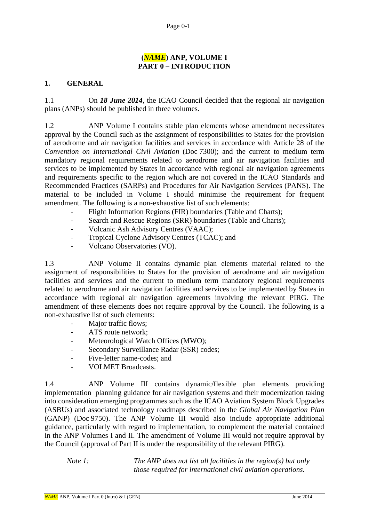### **(***NAME***) ANP, VOLUME I PART 0 – INTRODUCTION**

#### **1. GENERAL**

1.1 On *18 June 2014*, the ICAO Council decided that the regional air navigation plans (ANPs) should be published in three volumes.

1.2 ANP Volume I contains stable plan elements whose amendment necessitates approval by the Council such as the assignment of responsibilities to States for the provision of aerodrome and air navigation facilities and services in accordance with Article 28 of the *Convention on International Civil Aviation* (Doc 7300); and the current to medium term mandatory regional requirements related to aerodrome and air navigation facilities and services to be implemented by States in accordance with regional air navigation agreements and requirements specific to the region which are not covered in the ICAO Standards and Recommended Practices (SARPs) and Procedures for Air Navigation Services (PANS). The material to be included in Volume I should minimise the requirement for frequent amendment. The following is a non-exhaustive list of such elements:

- Flight Information Regions (FIR) boundaries (Table and Charts);
- Search and Rescue Regions (SRR) boundaries (Table and Charts);
- Volcanic Ash Advisory Centres (VAAC);
- Tropical Cyclone Advisory Centres (TCAC); and
- Volcano Observatories (VO).

1.3 ANP Volume II contains dynamic plan elements material related to the assignment of responsibilities to States for the provision of aerodrome and air navigation facilities and services and the current to medium term mandatory regional requirements related to aerodrome and air navigation facilities and services to be implemented by States in accordance with regional air navigation agreements involving the relevant PIRG. The amendment of these elements does not require approval by the Council. The following is a non-exhaustive list of such elements:

- Major traffic flows:
- ATS route network:
- Meteorological Watch Offices (MWO);
- Secondary Surveillance Radar (SSR) codes:
- Five-letter name-codes; and
- VOLMET Broadcasts.

1.4 ANP Volume III contains dynamic/flexible plan elements providing implementation planning guidance for air navigation systems and their modernization taking into consideration emerging programmes such as the ICAO Aviation System Block Upgrades (ASBUs) and associated technology roadmaps described in the *Global Air Navigation Plan*  (GANP) (Doc 9750). The ANP Volume III would also include appropriate additional guidance, particularly with regard to implementation, to complement the material contained in the ANP Volumes I and II. The amendment of Volume III would not require approval by the Council (approval of Part II is under the responsibility of the relevant PIRG).

*Note 1: The ANP does not list all facilities in the region(s) but only those required for international civil aviation operations.*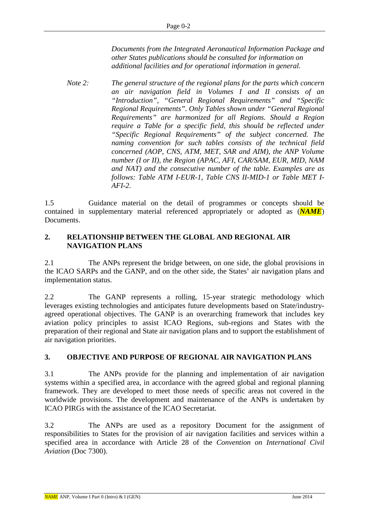*Documents from the Integrated Aeronautical Information Package and other States publications should be consulted for information on additional facilities and for operational information in general.*

*Note 2: The general structure of the regional plans for the parts which concern an air navigation field in Volumes I and II consists of an "Introduction", "General Regional Requirements" and "Specific Regional Requirements". Only Tables shown under "General Regional Requirements" are harmonized for all Regions. Should a Region require a Table for a specific field, this should be reflected under "Specific Regional Requirements" of the subject concerned. The naming convention for such tables consists of the technical field concerned (AOP, CNS, ATM, MET, SAR and AIM), the ANP Volume number (I or II), the Region (APAC, AFI, CAR/SAM, EUR, MID, NAM and NAT) and the consecutive number of the table. Examples are as follows: Table ATM I-EUR-1, Table CNS II-MID-1 or Table MET I-AFI-2.*

1.5 Guidance material on the detail of programmes or concepts should be contained in supplementary material referenced appropriately or adopted as (*NAME*) Documents.

### **2. RELATIONSHIP BETWEEN THE GLOBAL AND REGIONAL AIR NAVIGATION PLANS**

2.1 The ANPs represent the bridge between, on one side, the global provisions in the ICAO SARPs and the GANP, and on the other side, the States' air navigation plans and implementation status.

2.2 The GANP represents a rolling, 15-year strategic methodology which leverages existing technologies and anticipates future developments based on State/industryagreed operational objectives. The GANP is an overarching framework that includes key aviation policy principles to assist ICAO Regions, sub-regions and States with the preparation of their regional and State air navigation plans and to support the establishment of air navigation priorities.

### **3. OBJECTIVE AND PURPOSE OF REGIONAL AIR NAVIGATION PLANS**

3.1 The ANPs provide for the planning and implementation of air navigation systems within a specified area, in accordance with the agreed global and regional planning framework. They are developed to meet those needs of specific areas not covered in the worldwide provisions. The development and maintenance of the ANPs is undertaken by ICAO PIRGs with the assistance of the ICAO Secretariat.

3.2 The ANPs are used as a repository Document for the assignment of responsibilities to States for the provision of air navigation facilities and services within a specified area in accordance with Article 28 of the *Convention on International Civil Aviation* (Doc 7300).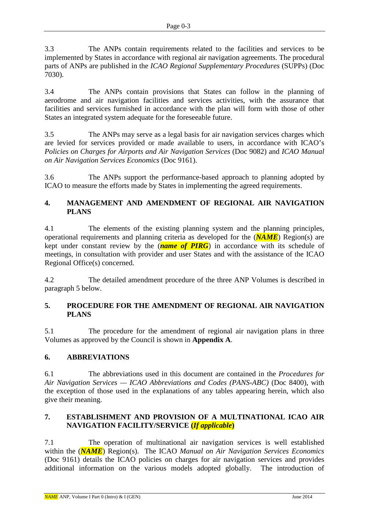3.3 The ANPs contain requirements related to the facilities and services to be implemented by States in accordance with regional air navigation agreements. The procedural parts of ANPs are published in the *ICAO Regional Supplementary Procedures* (SUPPs) (Doc 7030).

3.4 The ANPs contain provisions that States can follow in the planning of aerodrome and air navigation facilities and services activities, with the assurance that facilities and services furnished in accordance with the plan will form with those of other States an integrated system adequate for the foreseeable future.

3.5 The ANPs may serve as a legal basis for air navigation services charges which are levied for services provided or made available to users, in accordance with ICAO's *Policies on Charges for Airports and Air Navigation Services* (Doc 9082) and *ICAO Manual on Air Navigation Services Economics* (Doc 9161).

3.6 The ANPs support the performance-based approach to planning adopted by ICAO to measure the efforts made by States in implementing the agreed requirements.

### **4. MANAGEMENT AND AMENDMENT OF REGIONAL AIR NAVIGATION PLANS**

4.1 The elements of the existing planning system and the planning principles, operational requirements and planning criteria as developed for the (*NAME*) Region(s) are kept under constant review by the (*name of PIRG*) in accordance with its schedule of meetings, in consultation with provider and user States and with the assistance of the ICAO Regional Office(s) concerned.

4.2 The detailed amendment procedure of the three ANP Volumes is described in paragraph 5 below.

### **5. PROCEDURE FOR THE AMENDMENT OF REGIONAL AIR NAVIGATION PLANS**

5.1 The procedure for the amendment of regional air navigation plans in three Volumes as approved by the Council is shown in **Appendix A**.

### **6. ABBREVIATIONS**

6.1 The abbreviations used in this document are contained in the *Procedures for Air Navigation Services — ICAO Abbreviations and Codes (PANS-ABC)* (Doc 8400), with the exception of those used in the explanations of any tables appearing herein, which also give their meaning.

### **7. ESTABLISHMENT AND PROVISION OF A MULTINATIONAL ICAO AIR NAVIGATION FACILITY/SERVICE (***If applicable***)**

7.1 The operation of multinational air navigation services is well established within the (*NAME*) Region(s). The ICAO *Manual on Air Navigation Services Economics*  (Doc 9161) details the ICAO policies on charges for air navigation services and provides additional information on the various models adopted globally. The introduction of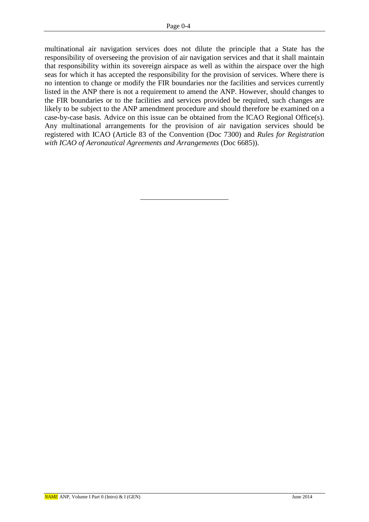multinational air navigation services does not dilute the principle that a State has the responsibility of overseeing the provision of air navigation services and that it shall maintain that responsibility within its sovereign airspace as well as within the airspace over the high seas for which it has accepted the responsibility for the provision of services. Where there is no intention to change or modify the FIR boundaries nor the facilities and services currently listed in the ANP there is not a requirement to amend the ANP. However, should changes to the FIR boundaries or to the facilities and services provided be required, such changes are likely to be subject to the ANP amendment procedure and should therefore be examined on a case-by-case basis. Advice on this issue can be obtained from the ICAO Regional Office(s). Any multinational arrangements for the provision of air navigation services should be registered with ICAO (Article 83 of the Convention (Doc 7300) and *Rules for Registration with ICAO of Aeronautical Agreements and Arrangements* (Doc 6685)).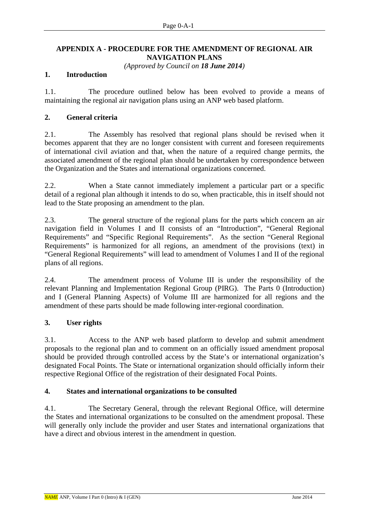### **APPENDIX A - PROCEDURE FOR THE AMENDMENT OF REGIONAL AIR NAVIGATION PLANS**

*(Approved by Council on 18 June 2014)*

#### **1. Introduction**

1.1. The procedure outlined below has been evolved to provide a means of maintaining the regional air navigation plans using an ANP web based platform.

#### **2. General criteria**

2.1. The Assembly has resolved that regional plans should be revised when it becomes apparent that they are no longer consistent with current and foreseen requirements of international civil aviation and that, when the nature of a required change permits, the associated amendment of the regional plan should be undertaken by correspondence between the Organization and the States and international organizations concerned.

2.2. When a State cannot immediately implement a particular part or a specific detail of a regional plan although it intends to do so, when practicable, this in itself should not lead to the State proposing an amendment to the plan.

2.3. The general structure of the regional plans for the parts which concern an air navigation field in Volumes I and II consists of an "Introduction", "General Regional Requirements" and "Specific Regional Requirements". As the section "General Regional Requirements" is harmonized for all regions, an amendment of the provisions (text) in "General Regional Requirements" will lead to amendment of Volumes I and II of the regional plans of all regions.

2.4. The amendment process of Volume III is under the responsibility of the relevant Planning and Implementation Regional Group (PIRG). The Parts 0 (Introduction) and I (General Planning Aspects) of Volume III are harmonized for all regions and the amendment of these parts should be made following inter-regional coordination.

### **3. User rights**

3.1. Access to the ANP web based platform to develop and submit amendment proposals to the regional plan and to comment on an officially issued amendment proposal should be provided through controlled access by the State's or international organization's designated Focal Points. The State or international organization should officially inform their respective Regional Office of the registration of their designated Focal Points.

#### **4. States and international organizations to be consulted**

4.1. The Secretary General, through the relevant Regional Office, will determine the States and international organizations to be consulted on the amendment proposal. These will generally only include the provider and user States and international organizations that have a direct and obvious interest in the amendment in question.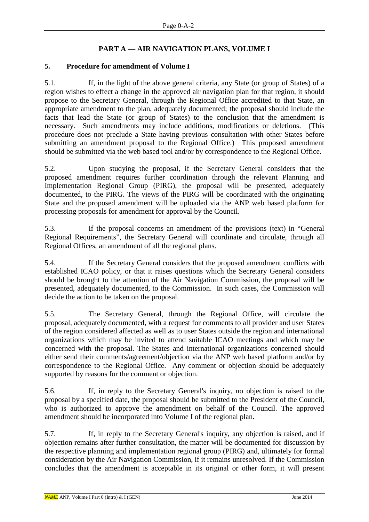### **PART A — AIR NAVIGATION PLANS, VOLUME I**

### **5. Procedure for amendment of Volume I**

5.1. If, in the light of the above general criteria, any State (or group of States) of a region wishes to effect a change in the approved air navigation plan for that region, it should propose to the Secretary General, through the Regional Office accredited to that State, an appropriate amendment to the plan, adequately documented; the proposal should include the facts that lead the State (or group of States) to the conclusion that the amendment is necessary. Such amendments may include additions, modifications or deletions. (This procedure does not preclude a State having previous consultation with other States before submitting an amendment proposal to the Regional Office.) This proposed amendment should be submitted via the web based tool and/or by correspondence to the Regional Office.

5.2. Upon studying the proposal, if the Secretary General considers that the proposed amendment requires further coordination through the relevant Planning and Implementation Regional Group (PIRG), the proposal will be presented, adequately documented, to the PIRG. The views of the PIRG will be coordinated with the originating State and the proposed amendment will be uploaded via the ANP web based platform for processing proposals for amendment for approval by the Council.

5.3. If the proposal concerns an amendment of the provisions (text) in "General Regional Requirements", the Secretary General will coordinate and circulate, through all Regional Offices, an amendment of all the regional plans.

5.4. If the Secretary General considers that the proposed amendment conflicts with established ICAO policy, or that it raises questions which the Secretary General considers should be brought to the attention of the Air Navigation Commission, the proposal will be presented, adequately documented, to the Commission. In such cases, the Commission will decide the action to be taken on the proposal.

5.5. The Secretary General, through the Regional Office, will circulate the proposal, adequately documented, with a request for comments to all provider and user States of the region considered affected as well as to user States outside the region and international organizations which may be invited to attend suitable ICAO meetings and which may be concerned with the proposal. The States and international organizations concerned should either send their comments/agreement/objection via the ANP web based platform and/or by correspondence to the Regional Office. Any comment or objection should be adequately supported by reasons for the comment or objection.

5.6. If, in reply to the Secretary General's inquiry, no objection is raised to the proposal by a specified date, the proposal should be submitted to the President of the Council, who is authorized to approve the amendment on behalf of the Council. The approved amendment should be incorporated into Volume I of the regional plan.

5.7. If, in reply to the Secretary General's inquiry, any objection is raised, and if objection remains after further consultation, the matter will be documented for discussion by the respective planning and implementation regional group (PIRG) and, ultimately for formal consideration by the Air Navigation Commission, if it remains unresolved. If the Commission concludes that the amendment is acceptable in its original or other form, it will present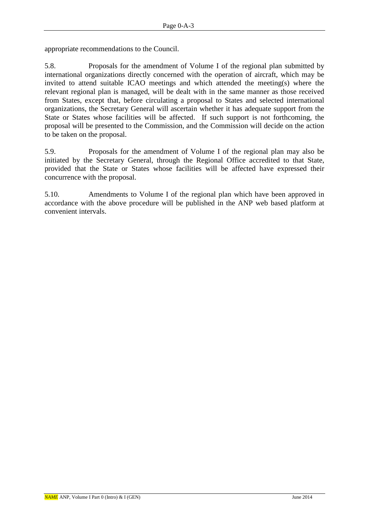appropriate recommendations to the Council.

5.8. Proposals for the amendment of Volume I of the regional plan submitted by international organizations directly concerned with the operation of aircraft, which may be invited to attend suitable ICAO meetings and which attended the meeting(s) where the relevant regional plan is managed, will be dealt with in the same manner as those received from States, except that, before circulating a proposal to States and selected international organizations, the Secretary General will ascertain whether it has adequate support from the State or States whose facilities will be affected. If such support is not forthcoming, the proposal will be presented to the Commission, and the Commission will decide on the action to be taken on the proposal.

5.9. Proposals for the amendment of Volume I of the regional plan may also be initiated by the Secretary General, through the Regional Office accredited to that State, provided that the State or States whose facilities will be affected have expressed their concurrence with the proposal.

5.10. Amendments to Volume I of the regional plan which have been approved in accordance with the above procedure will be published in the ANP web based platform at convenient intervals.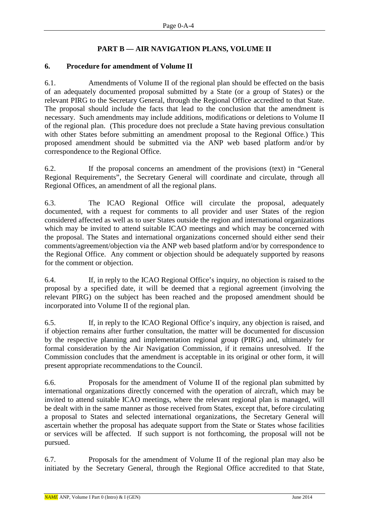### **PART B — AIR NAVIGATION PLANS, VOLUME II**

#### **6. Procedure for amendment of Volume II**

6.1. Amendments of Volume II of the regional plan should be effected on the basis of an adequately documented proposal submitted by a State (or a group of States) or the relevant PIRG to the Secretary General, through the Regional Office accredited to that State. The proposal should include the facts that lead to the conclusion that the amendment is necessary. Such amendments may include additions, modifications or deletions to Volume II of the regional plan. (This procedure does not preclude a State having previous consultation with other States before submitting an amendment proposal to the Regional Office.) This proposed amendment should be submitted via the ANP web based platform and/or by correspondence to the Regional Office.

6.2. If the proposal concerns an amendment of the provisions (text) in "General Regional Requirements", the Secretary General will coordinate and circulate, through all Regional Offices, an amendment of all the regional plans.

6.3. The ICAO Regional Office will circulate the proposal, adequately documented, with a request for comments to all provider and user States of the region considered affected as well as to user States outside the region and international organizations which may be invited to attend suitable ICAO meetings and which may be concerned with the proposal. The States and international organizations concerned should either send their comments/agreement/objection via the ANP web based platform and/or by correspondence to the Regional Office. Any comment or objection should be adequately supported by reasons for the comment or objection.

6.4. If, in reply to the ICAO Regional Office's inquiry, no objection is raised to the proposal by a specified date, it will be deemed that a regional agreement (involving the relevant PIRG) on the subject has been reached and the proposed amendment should be incorporated into Volume II of the regional plan.

6.5. If, in reply to the ICAO Regional Office's inquiry, any objection is raised, and if objection remains after further consultation, the matter will be documented for discussion by the respective planning and implementation regional group (PIRG) and, ultimately for formal consideration by the Air Navigation Commission, if it remains unresolved. If the Commission concludes that the amendment is acceptable in its original or other form, it will present appropriate recommendations to the Council.

6.6. Proposals for the amendment of Volume II of the regional plan submitted by international organizations directly concerned with the operation of aircraft, which may be invited to attend suitable ICAO meetings, where the relevant regional plan is managed, will be dealt with in the same manner as those received from States, except that, before circulating a proposal to States and selected international organizations, the Secretary General will ascertain whether the proposal has adequate support from the State or States whose facilities or services will be affected. If such support is not forthcoming, the proposal will not be pursued.

6.7. Proposals for the amendment of Volume II of the regional plan may also be initiated by the Secretary General, through the Regional Office accredited to that State,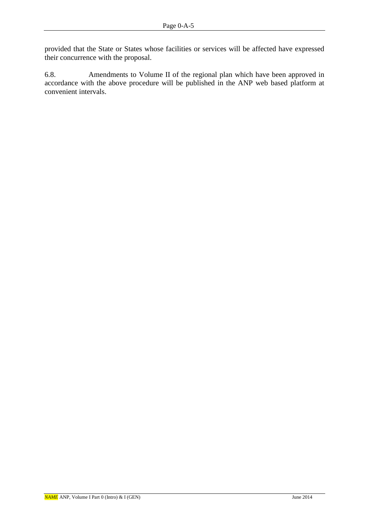provided that the State or States whose facilities or services will be affected have expressed their concurrence with the proposal.

6.8. Amendments to Volume II of the regional plan which have been approved in accordance with the above procedure will be published in the ANP web based platform at convenient intervals.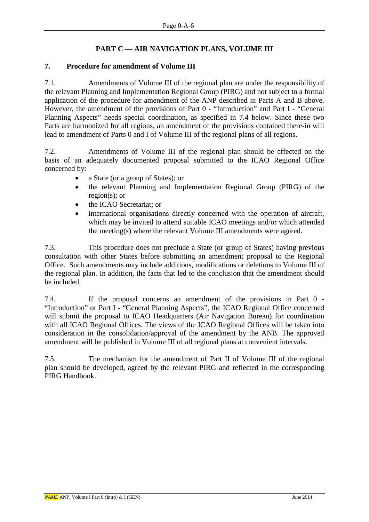### **PART C — AIR NAVIGATION PLANS, VOLUME III**

### **7. Procedure for amendment of Volume III**

7.1. Amendments of Volume III of the regional plan are under the responsibility of the relevant Planning and Implementation Regional Group (PIRG) and not subject to a formal application of the procedure for amendment of the ANP described in Parts A and B above. However, the amendment of the provisions of Part 0 - "Introduction" and Part I - "General Planning Aspects" needs special coordination, as specified in 7.4 below. Since these two Parts are harmonized for all regions, an amendment of the provisions contained there-in will lead to amendment of Parts 0 and I of Volume III of the regional plans of all regions.

7.2. Amendments of Volume III of the regional plan should be effected on the basis of an adequately documented proposal submitted to the ICAO Regional Office concerned by:

- a State (or a group of States); or
- the relevant Planning and Implementation Regional Group (PIRG) of the region(s); or
- the ICAO Secretariat; or
- international organisations directly concerned with the operation of aircraft, which may be invited to attend suitable ICAO meetings and/or which attended the meeting(s) where the relevant Volume III amendments were agreed.

7.3. This procedure does not preclude a State (or group of States) having previous consultation with other States before submitting an amendment proposal to the Regional Office. Such amendments may include additions, modifications or deletions to Volume III of the regional plan. In addition, the facts that led to the conclusion that the amendment should be included.

7.4. If the proposal concerns an amendment of the provisions in Part 0 - "Introduction" or Part I - "General Planning Aspects", the ICAO Regional Office concerned will submit the proposal to ICAO Headquarters (Air Navigation Bureau) for coordination with all ICAO Regional Offices. The views of the ICAO Regional Offices will be taken into consideration in the consolidation/approval of the amendment by the ANB. The approved amendment will be published in Volume III of all regional plans at convenient intervals.

7.5. The mechanism for the amendment of Part II of Volume III of the regional plan should be developed, agreed by the relevant PIRG and reflected in the corresponding PIRG Handbook.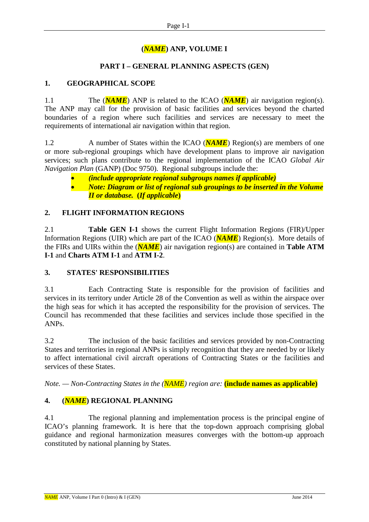# **(***NAME***) ANP, VOLUME I**

### **PART I – GENERAL PLANNING ASPECTS (GEN)**

### **1. GEOGRAPHICAL SCOPE**

1.1 The (*NAME*) ANP is related to the ICAO (*NAME*) air navigation region(s). The ANP may call for the provision of basic facilities and services beyond the charted boundaries of a region where such facilities and services are necessary to meet the requirements of international air navigation within that region.

1.2 A number of States within the ICAO (**NAME**) Region(s) are members of one or more sub-regional groupings which have development plans to improve air navigation services; such plans contribute to the regional implementation of the ICAO *Global Air Navigation Plan* (GANP) (Doc 9750). Regional subgroups include the:

- *(include appropriate regional subgroups names if applicable)*
- *Note: Diagram or list of regional sub groupings to be inserted in the Volume II or database.* **(***If applicable***)**

### **2. FLIGHT INFORMATION REGIONS**

2.1 **Table GEN I-1** shows the current Flight Information Regions (FIR)/Upper Information Regions (UIR) which are part of the ICAO (*NAME*) Region(s). More details of the FIRs and UIRs within the (*NAME*) air navigation region(s) are contained in **Table ATM I-1** and **Charts ATM I-1** and **ATM I-2**.

### **3. STATES' RESPONSIBILITIES**

3.1 Each Contracting State is responsible for the provision of facilities and services in its territory under Article 28 of the Convention as well as within the airspace over the high seas for which it has accepted the responsibility for the provision of services. The Council has recommended that these facilities and services include those specified in the ANPs.

3.2 The inclusion of the basic facilities and services provided by non-Contracting States and territories in regional ANPs is simply recognition that they are needed by or likely to affect international civil aircraft operations of Contracting States or the facilities and services of these States.

*Note. — Non-Contracting States in the (NAME) region are:* **(include names as applicable)**

### **4. (***NAME***) REGIONAL PLANNING**

4.1 The regional planning and implementation process is the principal engine of ICAO's planning framework. It is here that the top-down approach comprising global guidance and regional harmonization measures converges with the bottom-up approach constituted by national planning by States.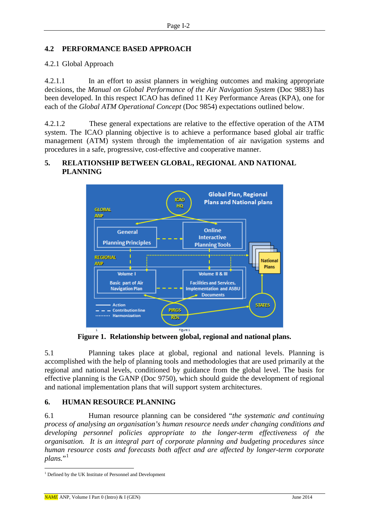### **4.2 PERFORMANCE BASED APPROACH**

#### 4.2.1 Global Approach

4.2.1.1 In an effort to assist planners in weighing outcomes and making appropriate decisions, the *Manual on Global Performance of the Air Navigation System* (Doc 9883) has been developed. In this respect ICAO has defined 11 Key Performance Areas (KPA), one for each of the *Global ATM Operational Concept* (Doc 9854) expectations outlined below.

4.2.1.2 These general expectations are relative to the effective operation of the ATM system. The ICAO planning objective is to achieve a performance based global air traffic management (ATM) system through the implementation of air navigation systems and procedures in a safe, progressive, cost-effective and cooperative manner.

### **5. RELATIONSHIP BETWEEN GLOBAL, REGIONAL AND NATIONAL PLANNING**



**Figure 1. Relationship between global, regional and national plans.** 

5.1 Planning takes place at global, regional and national levels. Planning is accomplished with the help of planning tools and methodologies that are used primarily at the regional and national levels, conditioned by guidance from the global level. The basis for effective planning is the GANP (Doc 9750), which should guide the development of regional and national implementation plans that will support system architectures.

### **6. HUMAN RESOURCE PLANNING**

6.1 Human resource planning can be considered "*the systematic and continuing process of analysing an organisation's human resource needs under changing conditions and developing personnel policies appropriate to the longer-term effectiveness of the organisation. It is an integral part of corporate planning and budgeting procedures since human resource costs and forecasts both affect and are affected by longer-term corporate plans.*"

<span id="page-14-0"></span> <sup>1</sup> Defined by the UK Institute of Personnel and Development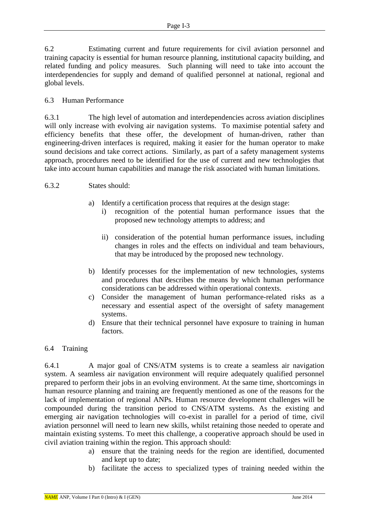6.2 Estimating current and future requirements for civil aviation personnel and training capacity is essential for human resource planning, institutional capacity building, and related funding and policy measures. Such planning will need to take into account the interdependencies for supply and demand of qualified personnel at national, regional and global levels.

### 6.3 Human Performance

6.3.1 The high level of automation and interdependencies across aviation disciplines will only increase with evolving air navigation systems. To maximise potential safety and efficiency benefits that these offer, the development of human-driven, rather than engineering-driven interfaces is required, making it easier for the human operator to make sound decisions and take correct actions. Similarly, as part of a safety management systems approach, procedures need to be identified for the use of current and new technologies that take into account human capabilities and manage the risk associated with human limitations.

#### 6.3.2 States should:

- a) Identify a certification process that requires at the design stage:
	- i) recognition of the potential human performance issues that the proposed new technology attempts to address; and
	- ii) consideration of the potential human performance issues, including changes in roles and the effects on individual and team behaviours, that may be introduced by the proposed new technology.
- b) Identify processes for the implementation of new technologies, systems and procedures that describes the means by which human performance considerations can be addressed within operational contexts.
- c) Consider the management of human performance-related risks as a necessary and essential aspect of the oversight of safety management systems.
- d) Ensure that their technical personnel have exposure to training in human factors.

### 6.4 Training

6.4.1 A major goal of CNS/ATM systems is to create a seamless air navigation system. A seamless air navigation environment will require adequately qualified personnel prepared to perform their jobs in an evolving environment. At the same time, shortcomings in human resource planning and training are frequently mentioned as one of the reasons for the lack of implementation of regional ANPs. Human resource development challenges will be compounded during the transition period to CNS/ATM systems. As the existing and emerging air navigation technologies will co-exist in parallel for a period of time, civil aviation personnel will need to learn new skills, whilst retaining those needed to operate and maintain existing systems. To meet this challenge, a cooperative approach should be used in civil aviation training within the region. This approach should:

- a) ensure that the training needs for the region are identified, documented and kept up to date;
- b) facilitate the access to specialized types of training needed within the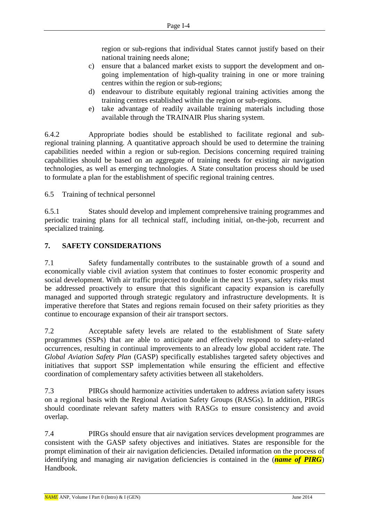region or sub-regions that individual States cannot justify based on their national training needs alone;

- c) ensure that a balanced market exists to support the development and ongoing implementation of high-quality training in one or more training centres within the region or sub-regions;
- d) endeavour to distribute equitably regional training activities among the training centres established within the region or sub-regions.
- e) take advantage of readily available training materials including those available through the TRAINAIR Plus sharing system.

6.4.2 Appropriate bodies should be established to facilitate regional and subregional training planning. A quantitative approach should be used to determine the training capabilities needed within a region or sub-region. Decisions concerning required training capabilities should be based on an aggregate of training needs for existing air navigation technologies, as well as emerging technologies. A State consultation process should be used to formulate a plan for the establishment of specific regional training centres.

6.5 Training of technical personnel

6.5.1 States should develop and implement comprehensive training programmes and periodic training plans for all technical staff, including initial, on-the-job, recurrent and specialized training.

### **7. SAFETY CONSIDERATIONS**

7.1 Safety fundamentally contributes to the sustainable growth of a sound and economically viable civil aviation system that continues to foster economic prosperity and social development. With air traffic projected to double in the next 15 years, safety risks must be addressed proactively to ensure that this significant capacity expansion is carefully managed and supported through strategic regulatory and infrastructure developments. It is imperative therefore that States and regions remain focused on their safety priorities as they continue to encourage expansion of their air transport sectors.

7.2 Acceptable safety levels are related to the establishment of State safety programmes (SSPs) that are able to anticipate and effectively respond to safety-related occurrences, resulting in continual improvements to an already low global accident rate. The *Global Aviation Safety Plan* (GASP) specifically establishes targeted safety objectives and initiatives that support SSP implementation while ensuring the efficient and effective coordination of complementary safety activities between all stakeholders.

7.3 PIRGs should harmonize activities undertaken to address aviation safety issues on a regional basis with the Regional Aviation Safety Groups (RASGs). In addition, PIRGs should coordinate relevant safety matters with RASGs to ensure consistency and avoid overlap.

7.4 PIRGs should ensure that air navigation services development programmes are consistent with the GASP safety objectives and initiatives. States are responsible for the prompt elimination of their air navigation deficiencies. Detailed information on the process of identifying and managing air navigation deficiencies is contained in the (*name of PIRG*) Handbook.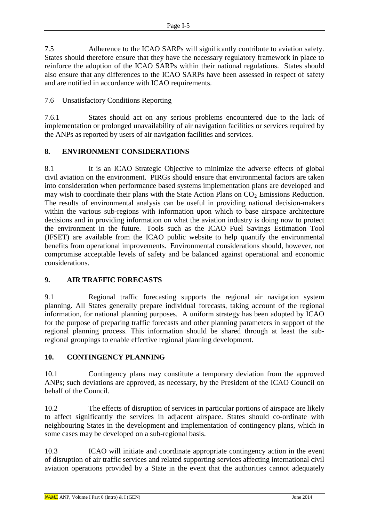7.5 Adherence to the ICAO SARPs will significantly contribute to aviation safety. States should therefore ensure that they have the necessary regulatory framework in place to reinforce the adoption of the ICAO SARPs within their national regulations. States should also ensure that any differences to the ICAO SARPs have been assessed in respect of safety and are notified in accordance with ICAO requirements.

7.6 Unsatisfactory Conditions Reporting

7.6.1 States should act on any serious problems encountered due to the lack of implementation or prolonged unavailability of air navigation facilities or services required by the ANPs as reported by users of air navigation facilities and services.

### **8. ENVIRONMENT CONSIDERATIONS**

8.1 It is an ICAO Strategic Objective to minimize the adverse effects of global civil aviation on the environment. PIRGs should ensure that environmental factors are taken into consideration when performance based systems implementation plans are developed and may wish to coordinate their plans with the State Action Plans on  $CO<sub>2</sub>$  Emissions Reduction. The results of environmental analysis can be useful in providing national decision-makers within the various sub-regions with information upon which to base airspace architecture decisions and in providing information on what the aviation industry is doing now to protect the environment in the future. Tools such as the ICAO Fuel Savings Estimation Tool (IFSET) are available from the ICAO public website to help quantify the environmental benefits from operational improvements. Environmental considerations should, however, not compromise acceptable levels of safety and be balanced against operational and economic considerations.

### **9. AIR TRAFFIC FORECASTS**

9.1 Regional traffic forecasting supports the regional air navigation system planning. All States generally prepare individual forecasts, taking account of the regional information, for national planning purposes. A uniform strategy has been adopted by ICAO for the purpose of preparing traffic forecasts and other planning parameters in support of the regional planning process. This information should be shared through at least the subregional groupings to enable effective regional planning development.

### **10. CONTINGENCY PLANNING**

10.1 Contingency plans may constitute a temporary deviation from the approved ANPs; such deviations are approved, as necessary, by the President of the ICAO Council on behalf of the Council.

10.2 The effects of disruption of services in particular portions of airspace are likely to affect significantly the services in adjacent airspace. States should co-ordinate with neighbouring States in the development and implementation of contingency plans, which in some cases may be developed on a sub-regional basis.

10.3 ICAO will initiate and coordinate appropriate contingency action in the event of disruption of air traffic services and related supporting services affecting international civil aviation operations provided by a State in the event that the authorities cannot adequately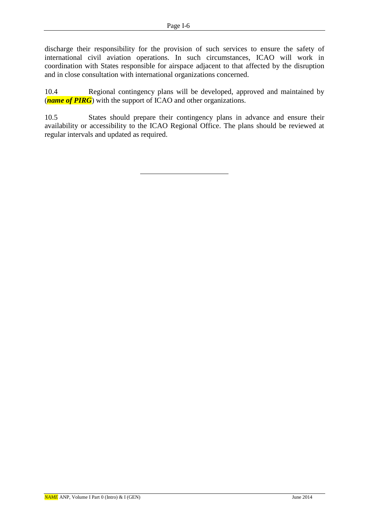discharge their responsibility for the provision of such services to ensure the safety of international civil aviation operations. In such circumstances, ICAO will work in coordination with States responsible for airspace adjacent to that affected by the disruption and in close consultation with international organizations concerned.

10.4 Regional contingency plans will be developed, approved and maintained by (*name of PIRG*) with the support of ICAO and other organizations.

10.5 States should prepare their contingency plans in advance and ensure their availability or accessibility to the ICAO Regional Office. The plans should be reviewed at regular intervals and updated as required.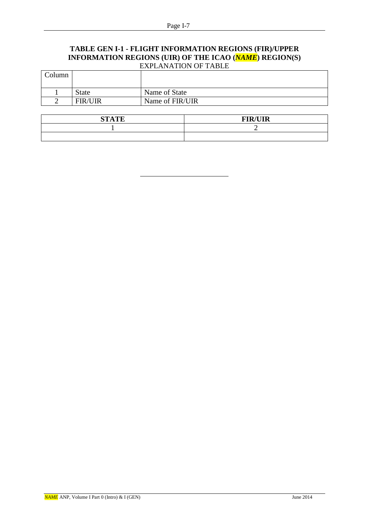#### **TABLE GEN I-1 - FLIGHT INFORMATION REGIONS (FIR)/UPPER INFORMATION REGIONS (UIR) OF THE ICAO (***NAME***) REGION(S)** EXPLANATION OF TABLE

| Column |                |                 |
|--------|----------------|-----------------|
|        | <b>State</b>   | Name of State   |
| -      | <b>FIR/UIR</b> | Name of FIR/UIR |

| <b>STATE</b> | <b>FIR/UIR</b><br><b>TITA</b> |
|--------------|-------------------------------|
|              |                               |
|              |                               |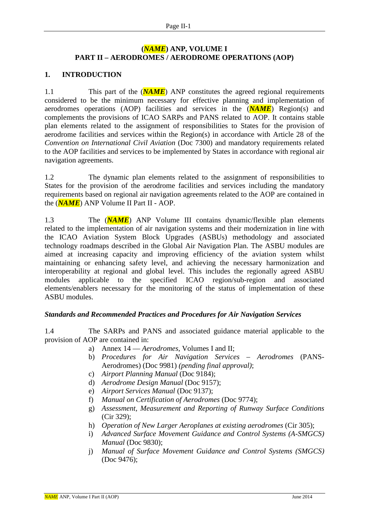### **(***NAME***) ANP, VOLUME I PART II – AERODROMES / AERODROME OPERATIONS (AOP)**

### **1. INTRODUCTION**

1.1 This part of the (*NAME*) ANP constitutes the agreed regional requirements considered to be the minimum necessary for effective planning and implementation of aerodromes operations (AOP) facilities and services in the (*NAME*) Region(s) and complements the provisions of ICAO SARPs and PANS related to AOP. It contains stable plan elements related to the assignment of responsibilities to States for the provision of aerodrome facilities and services within the Region(s) in accordance with Article 28 of the *Convention on International Civil Aviation* (Doc 7300) and mandatory requirements related to the AOP facilities and services to be implemented by States in accordance with regional air navigation agreements.

1.2 The dynamic plan elements related to the assignment of responsibilities to States for the provision of the aerodrome facilities and services including the mandatory requirements based on regional air navigation agreements related to the AOP are contained in the (*NAME*) ANP Volume II Part II - AOP.

1.3 The (*NAME*) ANP Volume III contains dynamic/flexible plan elements related to the implementation of air navigation systems and their modernization in line with the ICAO Aviation System Block Upgrades (ASBUs) methodology and associated technology roadmaps described in the Global Air Navigation Plan. The ASBU modules are aimed at increasing capacity and improving efficiency of the aviation system whilst maintaining or enhancing safety level, and achieving the necessary harmonization and interoperability at regional and global level. This includes the regionally agreed ASBU modules applicable to the specified ICAO region/sub-region and associated elements/enablers necessary for the monitoring of the status of implementation of these ASBU modules.

### *Standards and Recommended Practices and Procedures for Air Navigation Services*

1.4 The SARPs and PANS and associated guidance material applicable to the provision of AOP are contained in:

- a) Annex 14 *Aerodromes*, Volumes I and II;
- b) *Procedures for Air Navigation Services – Aerodromes* (PANS-Aerodromes) (Doc 9981) *(pending final approval)*;
- c) *Airport Planning Manual* (Doc 9184);
- d) *Aerodrome Design Manual* (Doc 9157);
- e) *Airport Services Manual* (Doc 9137);
- f) *Manual on Certification of Aerodromes* (Doc 9774);
- g) *Assessment, Measurement and Reporting of Runway Surface Conditions* (Cir 329);
- h) *Operation of New Larger Aeroplanes at existing aerodromes* (Cir 305);
- i) *Advanced Surface Movement Guidance and Control Systems (A-SMGCS) Manual* (Doc 9830);
- j) *Manual of Surface Movement Guidance and Control Systems (SMGCS)* (Doc 9476);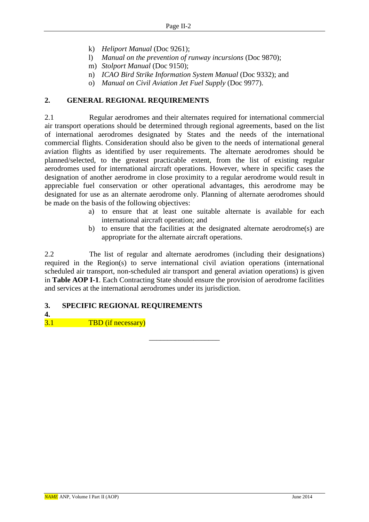- k) *Heliport Manual* (Doc 9261);
- l) *Manual on the prevention of runway incursions* (Doc 9870);
- m) *Stolport Manual* (Doc 9150);
- n) *ICAO Bird Strike Information System Manual* (Doc 9332); and
- o) *Manual on Civil Aviation Jet Fuel Supply* (Doc 9977).

#### **2. GENERAL REGIONAL REQUIREMENTS**

2.1 Regular aerodromes and their alternates required for international commercial air transport operations should be determined through regional agreements, based on the list of international aerodromes designated by States and the needs of the international commercial flights. Consideration should also be given to the needs of international general aviation flights as identified by user requirements. The alternate aerodromes should be planned/selected, to the greatest practicable extent, from the list of existing regular aerodromes used for international aircraft operations. However, where in specific cases the designation of another aerodrome in close proximity to a regular aerodrome would result in appreciable fuel conservation or other operational advantages, this aerodrome may be designated for use as an alternate aerodrome only. Planning of alternate aerodromes should be made on the basis of the following objectives:

- a) to ensure that at least one suitable alternate is available for each international aircraft operation; and
- b) to ensure that the facilities at the designated alternate aerodrome(s) are appropriate for the alternate aircraft operations.

2.2 The list of regular and alternate aerodromes (including their designations) required in the Region(s) to serve international civil aviation operations (international scheduled air transport, non-scheduled air transport and general aviation operations) is given in **Table AOP I-1**. Each Contracting State should ensure the provision of aerodrome facilities and services at the international aerodromes under its jurisdiction.

–––––––––––––––––––

### **3. SPECIFIC REGIONAL REQUIREMENTS**

**4.**

3.1 TBD (if necessary)

*NAME* ANP, Volume I Part II (AOP) June 2014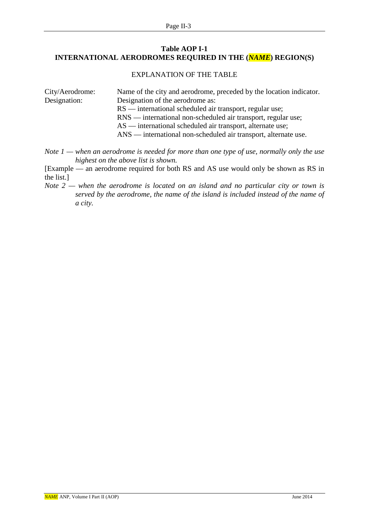#### **Table AOP I-1 INTERNATIONAL AERODROMES REQUIRED IN THE (***NAME***) REGION(S)**

#### EXPLANATION OF THE TABLE

| City/Aerodrome: | Name of the city and aerodrome, preceded by the location indicator. |
|-----------------|---------------------------------------------------------------------|
| Designation:    | Designation of the aerodrome as:                                    |
|                 | $RS$ — international scheduled air transport, regular use;          |
|                 | RNS — international non-scheduled air transport, regular use;       |
|                 | $AS$ — international scheduled air transport, alternate use;        |
|                 | ANS — international non-scheduled air transport, alternate use.     |

*Note 1 — when an aerodrome is needed for more than one type of use, normally only the use highest on the above list is shown.* 

[Example — an aerodrome required for both RS and AS use would only be shown as RS in the list.]

*Note 2 — when the aerodrome is located on an island and no particular city or town is served by the aerodrome, the name of the island is included instead of the name of a city.*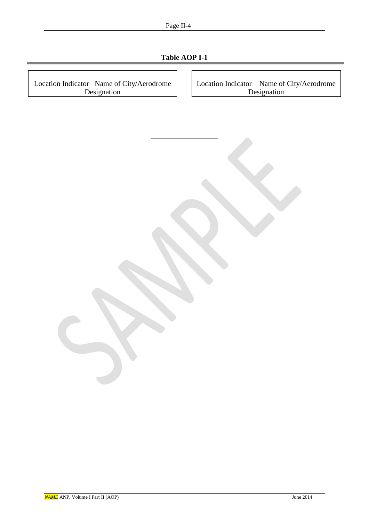| Page II-4                                                |  |  |  |
|----------------------------------------------------------|--|--|--|
| Table AOP I-1                                            |  |  |  |
|                                                          |  |  |  |
| Location Indicator Name of City/Aerodrome<br>Designation |  |  |  |
|                                                          |  |  |  |
|                                                          |  |  |  |
|                                                          |  |  |  |
|                                                          |  |  |  |
|                                                          |  |  |  |
|                                                          |  |  |  |
|                                                          |  |  |  |
|                                                          |  |  |  |
|                                                          |  |  |  |
|                                                          |  |  |  |
|                                                          |  |  |  |
|                                                          |  |  |  |
|                                                          |  |  |  |
|                                                          |  |  |  |
|                                                          |  |  |  |
|                                                          |  |  |  |
|                                                          |  |  |  |
|                                                          |  |  |  |
|                                                          |  |  |  |
|                                                          |  |  |  |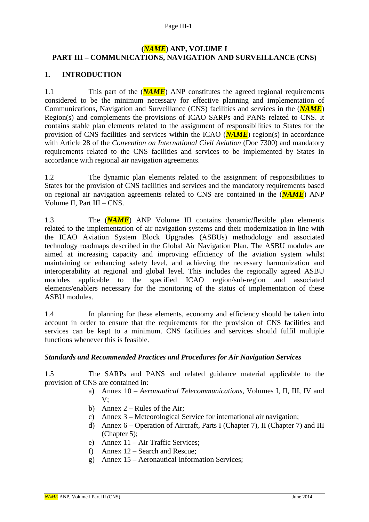### **(***NAME***) ANP, VOLUME I PART III – COMMUNICATIONS, NAVIGATION AND SURVEILLANCE (CNS)**

### **1. INTRODUCTION**

1.1 This part of the (*NAME*) ANP constitutes the agreed regional requirements considered to be the minimum necessary for effective planning and implementation of Communications, Navigation and Surveillance (CNS) facilities and services in the (*NAME*) Region(s) and complements the provisions of ICAO SARPs and PANS related to CNS. It contains stable plan elements related to the assignment of responsibilities to States for the provision of CNS facilities and services within the ICAO (*NAME*) region(s) in accordance with Article 28 of the *Convention on International Civil Aviation* (Doc 7300) and mandatory requirements related to the CNS facilities and services to be implemented by States in accordance with regional air navigation agreements.

1.2 The dynamic plan elements related to the assignment of responsibilities to States for the provision of CNS facilities and services and the mandatory requirements based on regional air navigation agreements related to CNS are contained in the (*NAME*) ANP Volume II, Part III – CNS.

1.3 The (*NAME*) ANP Volume III contains dynamic/flexible plan elements related to the implementation of air navigation systems and their modernization in line with the ICAO Aviation System Block Upgrades (ASBUs) methodology and associated technology roadmaps described in the Global Air Navigation Plan. The ASBU modules are aimed at increasing capacity and improving efficiency of the aviation system whilst maintaining or enhancing safety level, and achieving the necessary harmonization and interoperability at regional and global level. This includes the regionally agreed ASBU modules applicable to the specified ICAO region/sub-region and associated elements/enablers necessary for the monitoring of the status of implementation of these ASBU modules.

1.4 In planning for these elements, economy and efficiency should be taken into account in order to ensure that the requirements for the provision of CNS facilities and services can be kept to a minimum. CNS facilities and services should fulfil multiple functions whenever this is feasible.

### *Standards and Recommended Practices and Procedures for Air Navigation Services*

1.5 The SARPs and PANS and related guidance material applicable to the provision of CNS are contained in:

- a) Annex 10 *Aeronautical Telecommunications*, Volumes I, II, III, IV and V;
- b) Annex  $2 -$  Rules of the Air;
- c) Annex 3 Meteorological Service for international air navigation;
- d) Annex 6 Operation of Aircraft, Parts I (Chapter 7), II (Chapter 7) and III (Chapter 5);
- e) Annex 11 Air Traffic Services;
- f) Annex 12 Search and Rescue;
- g) Annex 15 Aeronautical Information Services;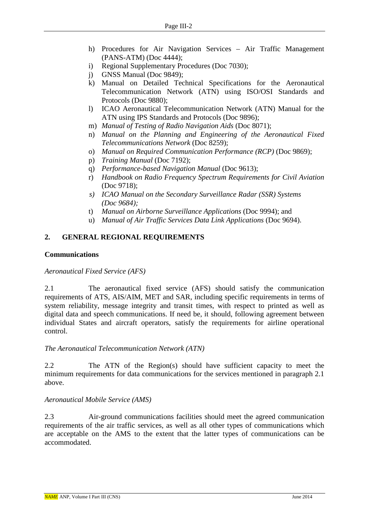- h) Procedures for Air Navigation Services Air Traffic Management (PANS-ATM) (Doc 4444);
- i) Regional Supplementary Procedures (Doc 7030);
- j) GNSS Manual (Doc 9849);
- k) Manual on Detailed Technical Specifications for the Aeronautical Telecommunication Network (ATN) using ISO/OSI Standards and Protocols (Doc 9880);
- l) ICAO Aeronautical Telecommunication Network (ATN) Manual for the ATN using IPS Standards and Protocols (Doc 9896);
- m) *Manual of Testing of Radio Navigation Aids* (Doc 8071);
- n) *Manual on the Planning and Engineering of the Aeronautical Fixed Telecommunications Network* (Doc 8259);
- o) *Manual on Required Communication Performance (RCP)* (Doc 9869);
- p) *Training Manual* (Doc 7192);
- q) *Performance-based Navigation Manual* (Doc 9613);
- r) *Handbook on Radio Frequency Spectrum Requirements for Civil Aviation* (Doc 9718);
- *s) ICAO Manual on the Secondary Surveillance Radar (SSR) Systems (Doc 9684);*
- t) *Manual on Airborne Surveillance Applications* (Doc 9994); and
- u) *Manual of Air Traffic Services Data Link Applications* (Doc 9694).

### **2. GENERAL REGIONAL REQUIREMENTS**

#### **Communications**

*Aeronautical Fixed Service (AFS)*

2.1 The aeronautical fixed service (AFS) should satisfy the communication requirements of ATS, AIS/AIM, MET and SAR, including specific requirements in terms of system reliability, message integrity and transit times, with respect to printed as well as digital data and speech communications. If need be, it should, following agreement between individual States and aircraft operators, satisfy the requirements for airline operational control.

#### *The Aeronautical Telecommunication Network (ATN)*

2.2 The ATN of the Region(s) should have sufficient capacity to meet the minimum requirements for data communications for the services mentioned in paragraph 2.1 above.

### *Aeronautical Mobile Service (AMS)*

2.3 Air-ground communications facilities should meet the agreed communication requirements of the air traffic services, as well as all other types of communications which are acceptable on the AMS to the extent that the latter types of communications can be accommodated.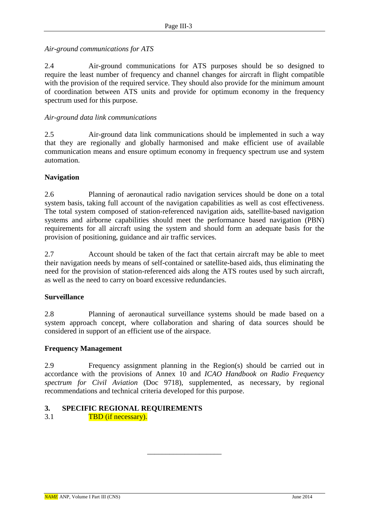*Air-ground communications for ATS*

2.4 Air-ground communications for ATS purposes should be so designed to require the least number of frequency and channel changes for aircraft in flight compatible with the provision of the required service. They should also provide for the minimum amount of coordination between ATS units and provide for optimum economy in the frequency spectrum used for this purpose.

### *Air-ground data link communications*

2.5 Air-ground data link communications should be implemented in such a way that they are regionally and globally harmonised and make efficient use of available communication means and ensure optimum economy in frequency spectrum use and system automation.

### **Navigation**

2.6 Planning of aeronautical radio navigation services should be done on a total system basis, taking full account of the navigation capabilities as well as cost effectiveness. The total system composed of station-referenced navigation aids, satellite-based navigation systems and airborne capabilities should meet the performance based navigation (PBN) requirements for all aircraft using the system and should form an adequate basis for the provision of positioning, guidance and air traffic services.

2.7 Account should be taken of the fact that certain aircraft may be able to meet their navigation needs by means of self-contained or satellite-based aids, thus eliminating the need for the provision of station-referenced aids along the ATS routes used by such aircraft, as well as the need to carry on board excessive redundancies.

### **Surveillance**

2.8 Planning of aeronautical surveillance systems should be made based on a system approach concept, where collaboration and sharing of data sources should be considered in support of an efficient use of the airspace.

### **Frequency Management**

2.9 Frequency assignment planning in the Region(s) should be carried out in accordance with the provisions of Annex 10 and *ICAO Handbook on Radio Frequency spectrum for Civil Aviation* (Doc 9718), supplemented, as necessary, by regional recommendations and technical criteria developed for this purpose.

\_\_\_\_\_\_\_\_\_\_\_\_\_\_\_\_\_\_\_\_

### **3. SPECIFIC REGIONAL REQUIREMENTS**

3.1 TBD (if necessary).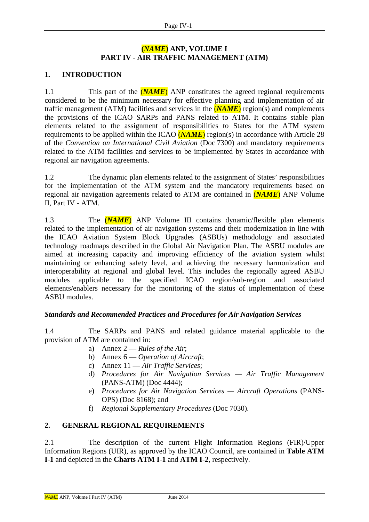### **(***NAME***) ANP, VOLUME I PART IV - AIR TRAFFIC MANAGEMENT (ATM)**

### **1. INTRODUCTION**

1.1 This part of the (*NAME*) ANP constitutes the agreed regional requirements considered to be the minimum necessary for effective planning and implementation of air traffic management (ATM) facilities and services in the  $(NAME)$  region(s) and complements the provisions of the ICAO SARPs and PANS related to ATM. It contains stable plan elements related to the assignment of responsibilities to States for the ATM system requirements to be applied within the ICAO (*NAME*) region(s) in accordance with Article 28 of the *Convention on International Civil Aviation* (Doc 7300) and mandatory requirements related to the ATM facilities and services to be implemented by States in accordance with regional air navigation agreements.

1.2 The dynamic plan elements related to the assignment of States' responsibilities for the implementation of the ATM system and the mandatory requirements based on regional air navigation agreements related to ATM are contained in (*NAME*) ANP Volume II, Part IV - ATM.

1.3 The (*NAME*) ANP Volume III contains dynamic/flexible plan elements related to the implementation of air navigation systems and their modernization in line with the ICAO Aviation System Block Upgrades (ASBUs) methodology and associated technology roadmaps described in the Global Air Navigation Plan. The ASBU modules are aimed at increasing capacity and improving efficiency of the aviation system whilst maintaining or enhancing safety level, and achieving the necessary harmonization and interoperability at regional and global level. This includes the regionally agreed ASBU modules applicable to the specified ICAO region/sub-region and associated elements/enablers necessary for the monitoring of the status of implementation of these ASBU modules.

### *Standards and Recommended Practices and Procedures for Air Navigation Services*

1.4 The SARPs and PANS and related guidance material applicable to the provision of ATM are contained in:

- a) Annex 2 *Rules of the Air*;
- b) Annex 6 *Operation of Aircraft*;
- c) Annex 11 *Air Traffic Services*;
- d) *Procedures for Air Navigation Services — Air Traffic Management* (PANS-ATM) (Doc 4444);
- e) *Procedures for Air Navigation Services — Aircraft Operations* (PANS-OPS) (Doc 8168); and
- f) *Regional Supplementary Procedures* (Doc 7030).

### **2. GENERAL REGIONAL REQUIREMENTS**

2.1 The description of the current Flight Information Regions (FIR)/Upper Information Regions (UIR), as approved by the ICAO Council, are contained in **Table ATM I-1** and depicted in the **Charts ATM I-1** and **ATM I-2**, respectively.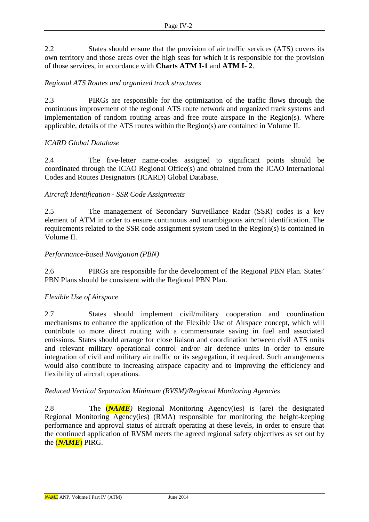2.2 States should ensure that the provision of air traffic services (ATS) covers its own territory and those areas over the high seas for which it is responsible for the provision of those services, in accordance with **Charts ATM I-1** and **ATM I- 2**.

### *Regional ATS Routes and organized track structures*

2.3 PIRGs are responsible for the optimization of the traffic flows through the continuous improvement of the regional ATS route network and organized track systems and implementation of random routing areas and free route airspace in the Region(s). Where applicable, details of the ATS routes within the Region(s) are contained in Volume II.

### *ICARD Global Database*

2.4 The five-letter name-codes assigned to significant points should be coordinated through the ICAO Regional Office(s) and obtained from the ICAO International Codes and Routes Designators (ICARD) Global Database.

### *Aircraft Identification - SSR Code Assignments*

2.5 The management of Secondary Surveillance Radar (SSR) codes is a key element of ATM in order to ensure continuous and unambiguous aircraft identification. The requirements related to the SSR code assignment system used in the Region(s) is contained in Volume II.

#### *Performance-based Navigation (PBN)*

2.6 PIRGs are responsible for the development of the Regional PBN Plan. States' PBN Plans should be consistent with the Regional PBN Plan.

### *Flexible Use of Airspace*

2.7 States should implement civil/military cooperation and coordination mechanisms to enhance the application of the Flexible Use of Airspace concept, which will contribute to more direct routing with a commensurate saving in fuel and associated emissions. States should arrange for close liaison and coordination between civil ATS units and relevant military operational control and/or air defence units in order to ensure integration of civil and military air traffic or its segregation, if required. Such arrangements would also contribute to increasing airspace capacity and to improving the efficiency and flexibility of aircraft operations.

#### *Reduced Vertical Separation Minimum (RVSM)/Regional Monitoring Agencies*

2.8 The (*NAME)* Regional Monitoring Agency(ies) is (are) the designated Regional Monitoring Agency(ies) (RMA) responsible for monitoring the height-keeping performance and approval status of aircraft operating at these levels, in order to ensure that the continued application of RVSM meets the agreed regional safety objectives as set out by the (*NAME*) PIRG.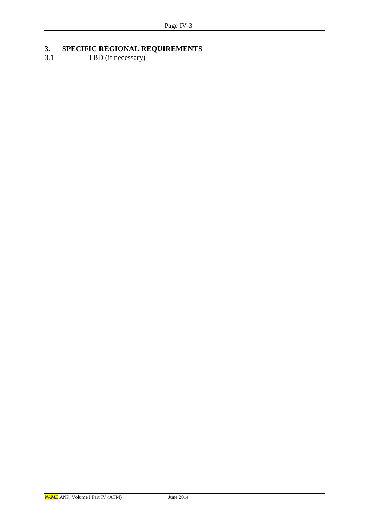\_\_\_\_\_\_\_\_\_\_\_\_\_\_\_\_\_\_\_\_

### **3. SPECIFIC REGIONAL REQUIREMENTS**

3.1 TBD (if necessary)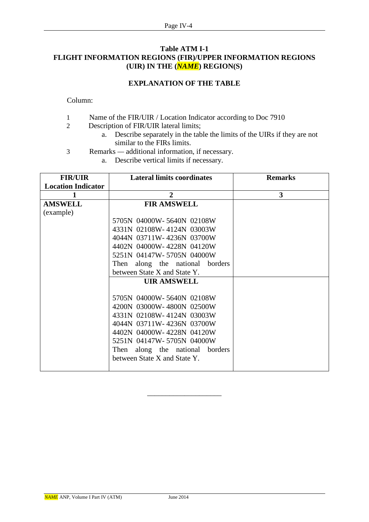#### **Table ATM I-1 FLIGHT INFORMATION REGIONS (FIR)/UPPER INFORMATION REGIONS (UIR) IN THE (***NAME***) REGION(S)**

### **EXPLANATION OF THE TABLE**

Column:

- 1 Name of the FIR/UIR / Location Indicator according to Doc 7910
- 2 Description of FIR/UIR lateral limits;
	- a. Describe separately in the table the limits of the UIRs if they are not similar to the FIRs limits.
- 3 Remarks *—* additional information, if necessary.
	- a. Describe vertical limits if necessary.

| <b>FIR/UIR</b>            | <b>Lateral limits coordinates</b> | <b>Remarks</b> |
|---------------------------|-----------------------------------|----------------|
| <b>Location Indicator</b> |                                   |                |
|                           | $\overline{2}$                    | 3              |
| <b>AMSWELL</b>            | <b>FIR AMSWELL</b>                |                |
| (example)                 |                                   |                |
|                           | 5705N 04000W-5640N 02108W         |                |
|                           | 4331N 02108W-4124N 03003W         |                |
|                           | 4044N 03711W-4236N 03700W         |                |
|                           | 4402N 04000W-4228N 04120W         |                |
|                           | 5251N 04147W-5705N 04000W         |                |
|                           | Then along the national borders   |                |
|                           | between State X and State Y.      |                |
|                           | <b>UIR AMSWELL</b>                |                |
|                           |                                   |                |
|                           | 5705N 04000W-5640N 02108W         |                |
|                           | 4200N 03000W-4800N 02500W         |                |
|                           | 4331N 02108W-4124N 03003W         |                |
|                           | 4044N 03711W-4236N 03700W         |                |
|                           | 4402N 04000W-4228N 04120W         |                |
|                           | 5251N 04147W-5705N 04000W         |                |
|                           | Then along the national borders   |                |
|                           | between State X and State Y.      |                |
|                           |                                   |                |

\_\_\_\_\_\_\_\_\_\_\_\_\_\_\_\_\_\_\_\_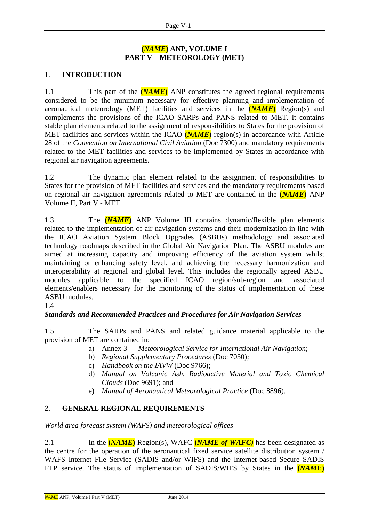### **(***NAME***) ANP, VOLUME I PART V – METEOROLOGY (MET)**

### 1. **INTRODUCTION**

1.1 This part of the **(***NAME***)** ANP constitutes the agreed regional requirements considered to be the minimum necessary for effective planning and implementation of aeronautical meteorology (MET) facilities and services in the **(***NAME***)** Region(s) and complements the provisions of the ICAO SARPs and PANS related to MET. It contains stable plan elements related to the assignment of responsibilities to States for the provision of MET facilities and services within the ICAO **(***NAME***)** region(s) in accordance with Article 28 of the *Convention on International Civil Aviation* (Doc 7300) and mandatory requirements related to the MET facilities and services to be implemented by States in accordance with regional air navigation agreements.

1.2 The dynamic plan element related to the assignment of responsibilities to States for the provision of MET facilities and services and the mandatory requirements based on regional air navigation agreements related to MET are contained in the **(***NAME***)** ANP Volume II, Part V - MET.

1.3 The **(***NAME***)** ANP Volume III contains dynamic/flexible plan elements related to the implementation of air navigation systems and their modernization in line with the ICAO Aviation System Block Upgrades (ASBUs) methodology and associated technology roadmaps described in the Global Air Navigation Plan. The ASBU modules are aimed at increasing capacity and improving efficiency of the aviation system whilst maintaining or enhancing safety level, and achieving the necessary harmonization and interoperability at regional and global level. This includes the regionally agreed ASBU modules applicable to the specified ICAO region/sub-region and associated elements/enablers necessary for the monitoring of the status of implementation of these ASBU modules.

1.4

### *Standards and Recommended Practices and Procedures for Air Navigation Services*

1.5 The SARPs and PANS and related guidance material applicable to the provision of MET are contained in:

- a) Annex 3 *Meteorological Service for International Air Navigation*;
- b) *Regional Supplementary Procedures* (Doc 7030)*;*
- c) *Handbook on the IAVW* (Doc 9766);
- d) *Manual on Volcanic Ash, Radioactive Material and Toxic Chemical Clouds* (Doc 9691); and
- e) *Manual of Aeronautical Meteorological Practice* (Doc 8896).

### **2. GENERAL REGIONAL REQUIREMENTS**

*World area forecast system (WAFS) and meteorological offices*

2.1 In the **(***NAME***)** Region(s), WAFC **(***NAME of WAFC)* has been designated as the centre for the operation of the aeronautical fixed service satellite distribution system / WAFS Internet File Service (SADIS and/or WIFS) and the Internet-based Secure SADIS FTP service. The status of implementation of SADIS/WIFS by States in the **(***NAME***)**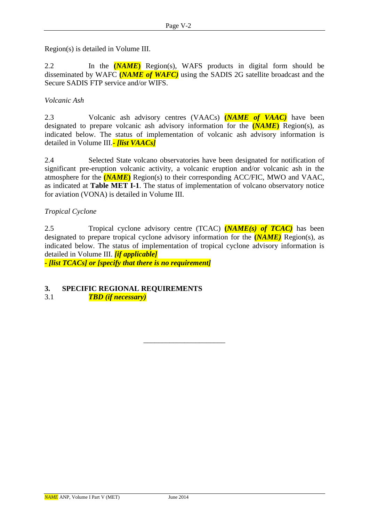Region(s) is detailed in Volume III.

2.2 In the **(***NAME***)** Region(s), WAFS products in digital form should be disseminated by WAFC **(***NAME of WAFC)* using the SADIS 2G satellite broadcast and the Secure SADIS FTP service and/or WIFS.

### *Volcanic Ash*

2.3 Volcanic ash advisory centres (VAACs) **(***NAME of VAAC)* have been designated to prepare volcanic ash advisory information for the **(***NAME***)** Region(s), as indicated below. The status of implementation of volcanic ash advisory information is detailed in Volume III.*- [list VAACs]*

2.4 Selected State volcano observatories have been designated for notification of significant pre-eruption volcanic activity, a volcanic eruption and/or volcanic ash in the atmosphere for the **(***NAME***)** Region(s) to their corresponding ACC/FIC, MWO and VAAC, as indicated at **Table MET I-1**. The status of implementation of volcano observatory notice for aviation (VONA) is detailed in Volume III.

### *Tropical Cyclone*

2.5 Tropical cyclone advisory centre (TCAC) **(***NAME(s) of TCAC)* has been designated to prepare tropical cyclone advisory information for the **(***NAME)* Region(s), as indicated below. The status of implementation of tropical cyclone advisory information is detailed in Volume III. *[if applicable]* **-** *[list TCACs] or [specify that there is no requirement]*

\_\_\_\_\_\_\_\_\_\_\_\_\_\_\_\_\_\_\_\_\_\_

# **3. SPECIFIC REGIONAL REQUIREMENTS**

3.1 *TBD (if necessary)*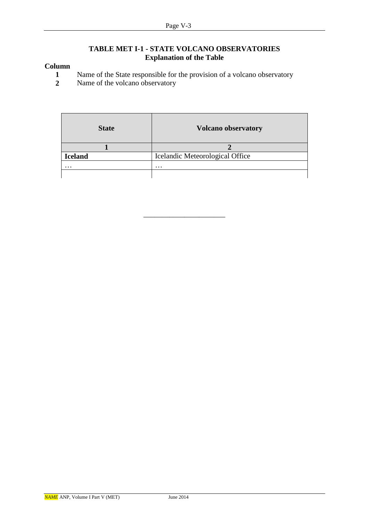#### **TABLE MET I-1 - STATE VOLCANO OBSERVATORIES Explanation of the Table**

### **Column**

- **1** Name of the State responsible for the provision of a volcano observatory<br>**2** Name of the volcano observatory
- **2** Name of the volcano observatory

| <b>State</b>   | <b>Volcano observatory</b>      |
|----------------|---------------------------------|
|                |                                 |
| <b>Iceland</b> | Icelandic Meteorological Office |
| $\cdots$       | $\cdots$                        |
|                |                                 |

––––––––––––––––––––––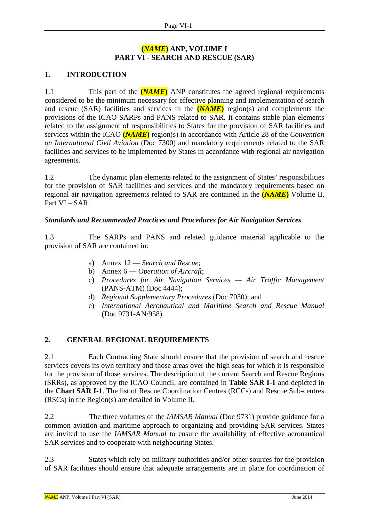### **(***NAME***) ANP, VOLUME I PART VI - SEARCH AND RESCUE (SAR)**

### **1. INTRODUCTION**

1.1 This part of the **(***NAME***)** ANP constitutes the agreed regional requirements considered to be the minimum necessary for effective planning and implementation of search and rescue (SAR) facilities and services in the **(***NAME*) region(s) and complements the provisions of the ICAO SARPs and PANS related to SAR. It contains stable plan elements related to the assignment of responsibilities to States for the provision of SAR facilities and services within the ICAO **(***NAME***)** region(s) in accordance with Article 28 of the *Convention on International Civil Aviation* (Doc 7300) and mandatory requirements related to the SAR facilities and services to be implemented by States in accordance with regional air navigation agreements.

1.2 The dynamic plan elements related to the assignment of States' responsibilities for the provision of SAR facilities and services and the mandatory requirements based on regional air navigation agreements related to SAR are contained in the **(***NAME***)** Volume II, Part VI – SAR.

### *Standards and Recommended Practices and Procedures for Air Navigation Services*

1.3 The SARPs and PANS and related guidance material applicable to the provision of SAR are contained in:

- a) Annex 12 *Search and Rescue*;
- b) Annex 6 *Operation of Aircraft*;
- c) *Procedures for Air Navigation Services — Air Traffic Management*  (PANS-ATM) (Doc 4444);
- d) *Regional Supplementary Procedures* (Doc 7030); and
- e) *International Aeronautical and Maritime Search and Rescue Manual* (Doc 9731-AN/958).

### **2. GENERAL REGIONAL REQUIREMENTS**

2.1 Each Contracting State should ensure that the provision of search and rescue services covers its own territory and those areas over the high seas for which it is responsible for the provision of those services. The description of the current Search and Rescue Regions (SRRs), as approved by the ICAO Council, are contained in **Table SAR I-1** and depicted in the **Chart SAR I-1**. The list of Rescue Coordination Centres (RCCs) and Rescue Sub-centres (RSCs) in the Region(s) are detailed in Volume II.

2.2 The three volumes of the *IAMSAR Manual* (Doc 9731) provide guidance for a common aviation and maritime approach to organizing and providing SAR services. States are invited to use the *IAMSAR Manual* to ensure the availability of effective aeronautical SAR services and to cooperate with neighbouring States.

2.3 States which rely on military authorities and/or other sources for the provision of SAR facilities should ensure that adequate arrangements are in place for coordination of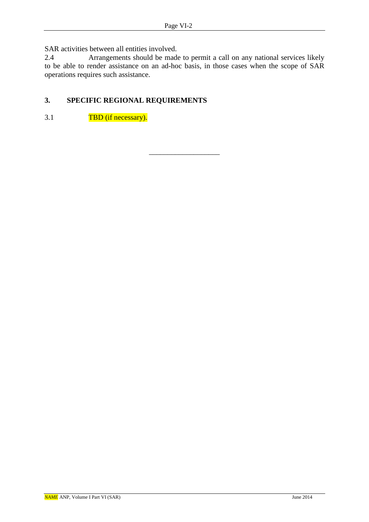SAR activities between all entities involved.<br>2.4 Arrangements should be made

Arrangements should be made to permit a call on any national services likely to be able to render assistance on an ad-hoc basis, in those cases when the scope of SAR operations requires such assistance.

\_\_\_\_\_\_\_\_\_\_\_\_\_\_\_\_\_\_\_

# **3. SPECIFIC REGIONAL REQUIREMENTS**

3.1 TBD (if necessary).

*NAME* ANP, Volume I Part VI (SAR) June 2014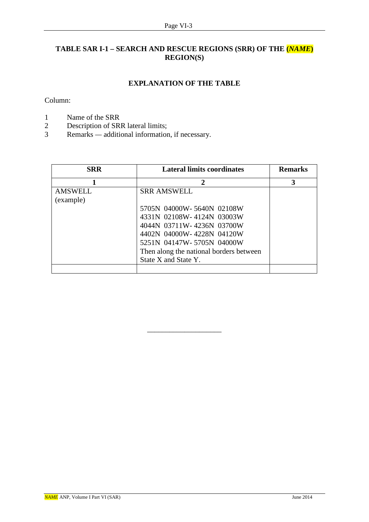# **TABLE SAR I-1 – SEARCH AND RESCUE REGIONS (SRR) OF THE (***NAME***) REGION(S)**

### **EXPLANATION OF THE TABLE**

Column:

- 1 Name of the SRR<br>2 Description of SR
- Description of SRR lateral limits;
- 3 Remarks *—* additional information, if necessary.

| <b>Lateral limits coordinates</b><br><b>SRR</b> |                                         | <b>Remarks</b> |  |
|-------------------------------------------------|-----------------------------------------|----------------|--|
|                                                 | $\overline{2}$                          | 3              |  |
| <b>AMSWELL</b>                                  | <b>SRR AMSWELL</b>                      |                |  |
| (example)                                       |                                         |                |  |
|                                                 | 5705N 04000W-5640N 02108W               |                |  |
|                                                 | 4331N 02108W-4124N 03003W               |                |  |
|                                                 | 4044N 03711W-4236N 03700W               |                |  |
|                                                 | 4402N 04000W-4228N 04120W               |                |  |
|                                                 | 5251N 04147W-5705N 04000W               |                |  |
|                                                 | Then along the national borders between |                |  |
|                                                 | State X and State Y.                    |                |  |
|                                                 |                                         |                |  |

\_\_\_\_\_\_\_\_\_\_\_\_\_\_\_\_\_\_\_\_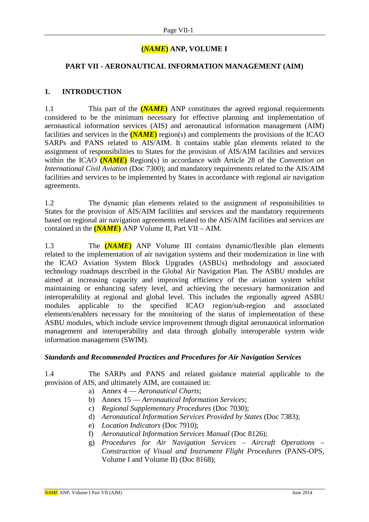### **(***NAME***) ANP, VOLUME I**

#### **PART VII - AERONAUTICAL INFORMATION MANAGEMENT (AIM)**

#### **1. INTRODUCTION**

1.1 This part of the **(***NAME***)** ANP constitutes the agreed regional requirements considered to be the minimum necessary for effective planning and implementation of aeronautical information services (AIS) and aeronautical information management (AIM) facilities and services in the **(***NAME***)** region(s) and complements the provisions of the ICAO SARPs and PANS related to AIS/AIM. It contains stable plan elements related to the assignment of responsibilities to States for the provision of AIS/AIM facilities and services within the ICAO **(***NAME***)** Region(s) in accordance with Article 28 of the *Convention on International Civil Aviation* (Doc 7300); and mandatory requirements related to the AIS/AIM facilities and services to be implemented by States in accordance with regional air navigation agreements.

1.2 The dynamic plan elements related to the assignment of responsibilities to States for the provision of AIS/AIM facilities and services and the mandatory requirements based on regional air navigation agreements related to the AIS/AIM facilities and services are contained in the **(***NAME***)** ANP Volume II, Part VII – AIM.

1.3 The **(***NAME***)** ANP Volume III contains dynamic/flexible plan elements related to the implementation of air navigation systems and their modernization in line with the ICAO Aviation System Block Upgrades (ASBUs) methodology and associated technology roadmaps described in the Global Air Navigation Plan. The ASBU modules are aimed at increasing capacity and improving efficiency of the aviation system whilst maintaining or enhancing safety level, and achieving the necessary harmonization and interoperability at regional and global level. This includes the regionally agreed ASBU modules applicable to the specified ICAO region/sub-region and associated elements/enablers necessary for the monitoring of the status of implementation of these ASBU modules, which include service improvement through digital aeronautical information management and interoperability and data through globally interoperable system wide information management (SWIM).

#### *Standards and Recommended Practices and Procedures for Air Navigation Services*

1.4 The SARPs and PANS and related guidance material applicable to the provision of AIS, and ultimately AIM, are contained in:

- a) Annex 4 *Aeronautical Charts*;
- b) Annex 15 *Aeronautical Information Services*;
- c) *Regional Supplementary Procedures* (Doc 7030);
- d) *Aeronautical Information Services Provided by States* (Doc 7383);
- e) *Location Indicators* (Doc 7910);
- f) *Aeronautical Information Services Manual* (Doc 8126);
- g) *Procedures for Air Navigation Services – Aircraft Operations – Construction of Visual and Instrument Flight Procedures* (PANS-OPS, Volume I and Volume II) (Doc 8168);